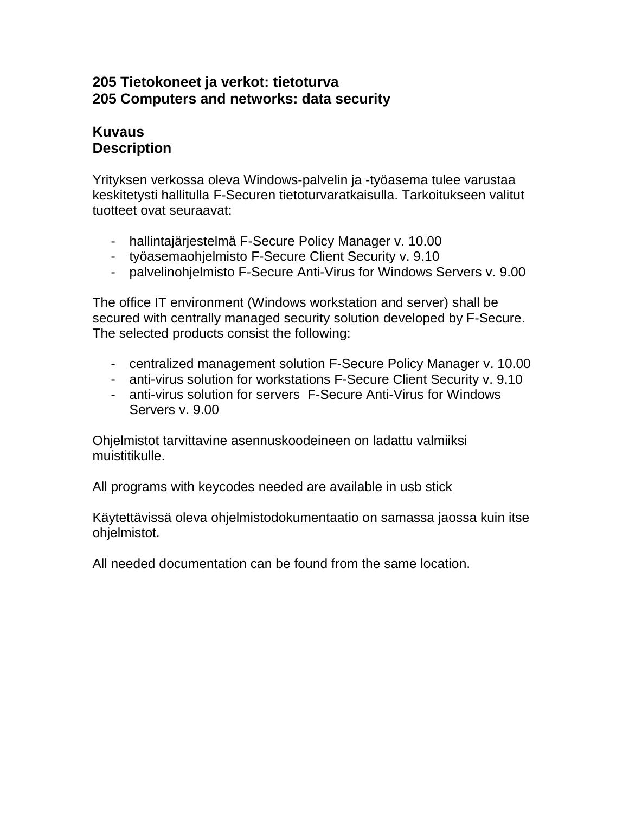### **205 Tietokoneet ja verkot: tietoturva 205 Computers and networks: data security**

#### **Kuvaus Description**

Yrityksen verkossa oleva Windows-palvelin ja -työasema tulee varustaa keskitetysti hallitulla F-Securen tietoturvaratkaisulla. Tarkoitukseen valitut tuotteet ovat seuraavat:

- hallintajärjestelmä F-Secure Policy Manager v. 10.00
- työasemaohjelmisto F-Secure Client Security v. 9.10
- palvelinohjelmisto F-Secure Anti-Virus for Windows Servers v. 9.00

The office IT environment (Windows workstation and server) shall be secured with centrally managed security solution developed by F-Secure. The selected products consist the following:

- centralized management solution F-Secure Policy Manager v. 10.00
- anti-virus solution for workstations F-Secure Client Security v. 9.10
- anti-virus solution for servers F-Secure Anti-Virus for Windows Servers v. 9.00

Ohjelmistot tarvittavine asennuskoodeineen on ladattu valmiiksi muistitikulle.

All programs with keycodes needed are available in usb stick

Käytettävissä oleva ohjelmistodokumentaatio on samassa jaossa kuin itse ohjelmistot.

All needed documentation can be found from the same location.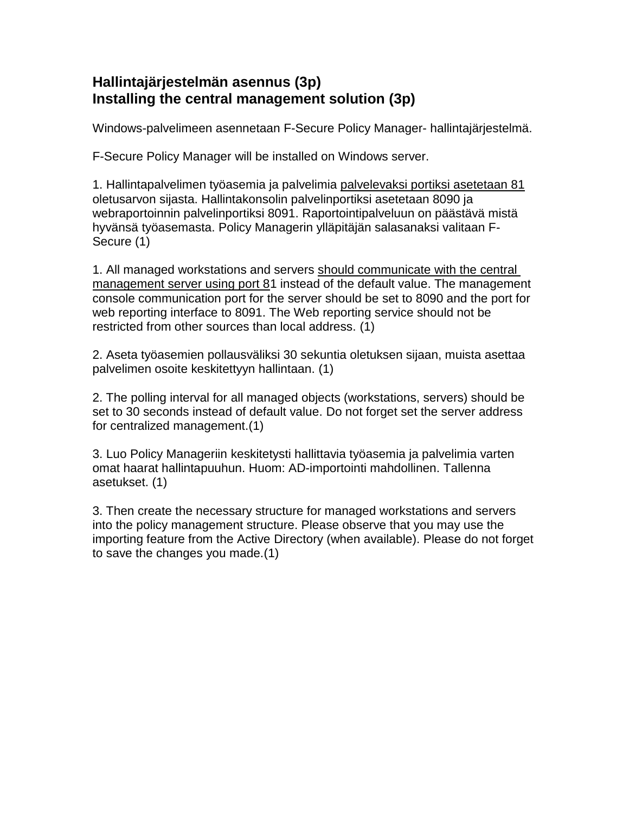# **Hallintajärjestelmän asennus (3p) Installing the central management solution (3p)**

Windows-palvelimeen asennetaan F-Secure Policy Manager- hallintajärjestelmä.

F-Secure Policy Manager will be installed on Windows server.

1. Hallintapalvelimen työasemia ja palvelimia palvelevaksi portiksi asetetaan 81 oletusarvon sijasta. Hallintakonsolin palvelinportiksi asetetaan 8090 ja webraportoinnin palvelinportiksi 8091. Raportointipalveluun on päästävä mistä hyvänsä työasemasta. Policy Managerin ylläpitäjän salasanaksi valitaan F-Secure (1)

1. All managed workstations and servers should communicate with the central management server using port 81 instead of the default value. The management console communication port for the server should be set to 8090 and the port for web reporting interface to 8091. The Web reporting service should not be restricted from other sources than local address. (1)

2. Aseta työasemien pollausväliksi 30 sekuntia oletuksen sijaan, muista asettaa palvelimen osoite keskitettyyn hallintaan. (1)

2. The polling interval for all managed objects (workstations, servers) should be set to 30 seconds instead of default value. Do not forget set the server address for centralized management.(1)

3. Luo Policy Manageriin keskitetysti hallittavia työasemia ja palvelimia varten omat haarat hallintapuuhun. Huom: AD-importointi mahdollinen. Tallenna asetukset. (1)

3. Then create the necessary structure for managed workstations and servers into the policy management structure. Please observe that you may use the importing feature from the Active Directory (when available). Please do not forget to save the changes you made.(1)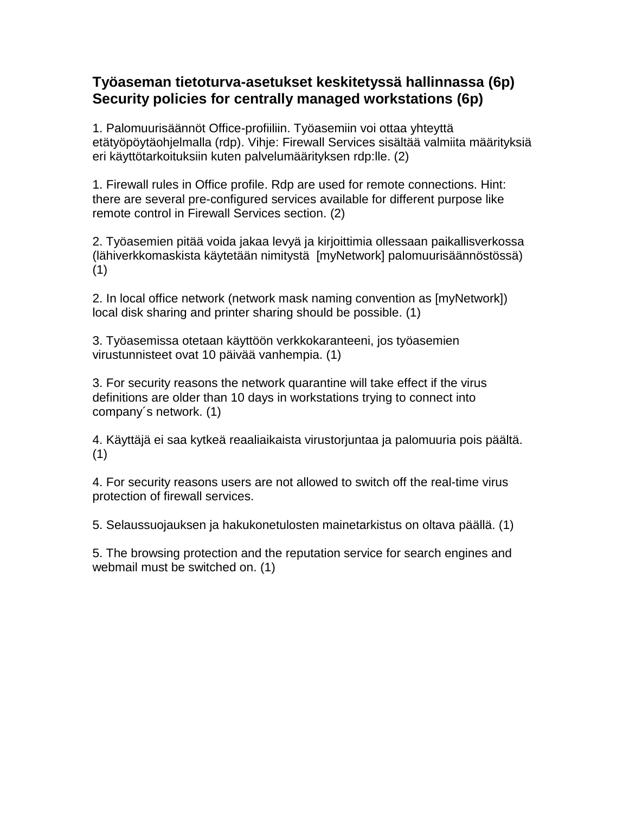### **Työaseman tietoturva-asetukset keskitetyssä hallinnassa (6p) Security policies for centrally managed workstations (6p)**

1. Palomuurisäännöt Office-profiiliin. Työasemiin voi ottaa yhteyttä etätyöpöytäohjelmalla (rdp). Vihje: Firewall Services sisältää valmiita määrityksiä eri käyttötarkoituksiin kuten palvelumäärityksen rdp:lle. (2)

1. Firewall rules in Office profile. Rdp are used for remote connections. Hint: there are several pre-configured services available for different purpose like remote control in Firewall Services section. (2)

2. Työasemien pitää voida jakaa levyä ja kirjoittimia ollessaan paikallisverkossa (lähiverkkomaskista käytetään nimitystä [myNetwork] palomuurisäännöstössä) (1)

2. In local office network (network mask naming convention as [myNetwork]) local disk sharing and printer sharing should be possible. (1)

3. Työasemissa otetaan käyttöön verkkokaranteeni, jos työasemien virustunnisteet ovat 10 päivää vanhempia. (1)

3. For security reasons the network quarantine will take effect if the virus definitions are older than 10 days in workstations trying to connect into company´s network. (1)

4. Käyttäjä ei saa kytkeä reaaliaikaista virustorjuntaa ja palomuuria pois päältä. (1)

4. For security reasons users are not allowed to switch off the real-time virus protection of firewall services.

5. Selaussuojauksen ja hakukonetulosten mainetarkistus on oltava päällä. (1)

5. The browsing protection and the reputation service for search engines and webmail must be switched on. (1)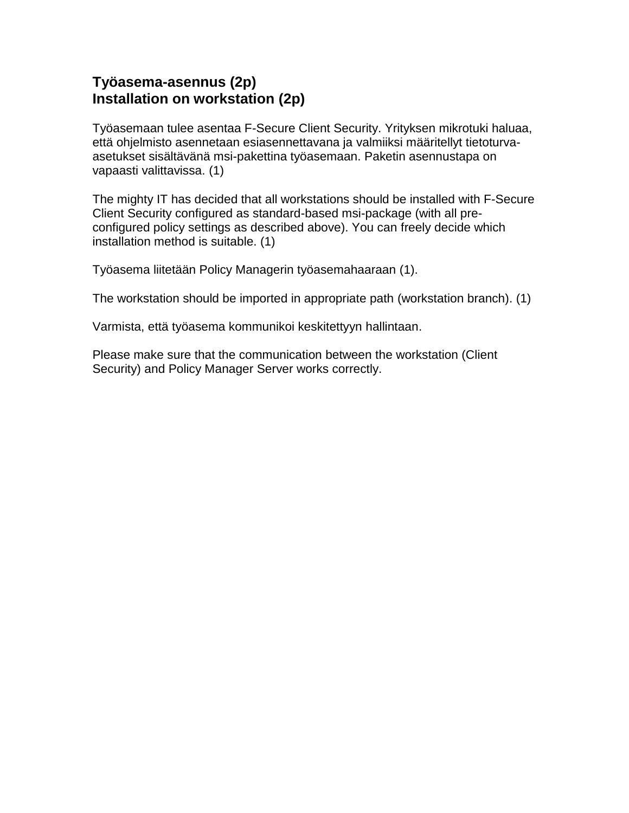### **Työasema-asennus (2p) Installation on workstation (2p)**

Työasemaan tulee asentaa F-Secure Client Security. Yrityksen mikrotuki haluaa, että ohjelmisto asennetaan esiasennettavana ja valmiiksi määritellyt tietoturvaasetukset sisältävänä msi-pakettina työasemaan. Paketin asennustapa on vapaasti valittavissa. (1)

The mighty IT has decided that all workstations should be installed with F-Secure Client Security configured as standard-based msi-package (with all preconfigured policy settings as described above). You can freely decide which installation method is suitable. (1)

Työasema liitetään Policy Managerin työasemahaaraan (1).

The workstation should be imported in appropriate path (workstation branch). (1)

Varmista, että työasema kommunikoi keskitettyyn hallintaan.

Please make sure that the communication between the workstation (Client Security) and Policy Manager Server works correctly.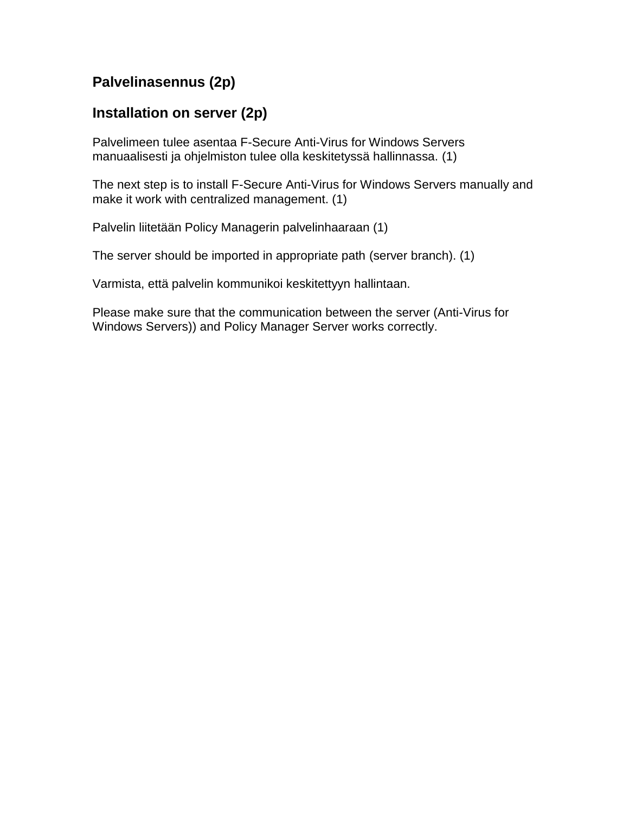## **Palvelinasennus (2p)**

### **Installation on server (2p)**

Palvelimeen tulee asentaa F-Secure Anti-Virus for Windows Servers manuaalisesti ja ohjelmiston tulee olla keskitetyssä hallinnassa. (1)

The next step is to install F-Secure Anti-Virus for Windows Servers manually and make it work with centralized management. (1)

Palvelin liitetään Policy Managerin palvelinhaaraan (1)

The server should be imported in appropriate path (server branch). (1)

Varmista, että palvelin kommunikoi keskitettyyn hallintaan.

Please make sure that the communication between the server (Anti-Virus for Windows Servers)) and Policy Manager Server works correctly.